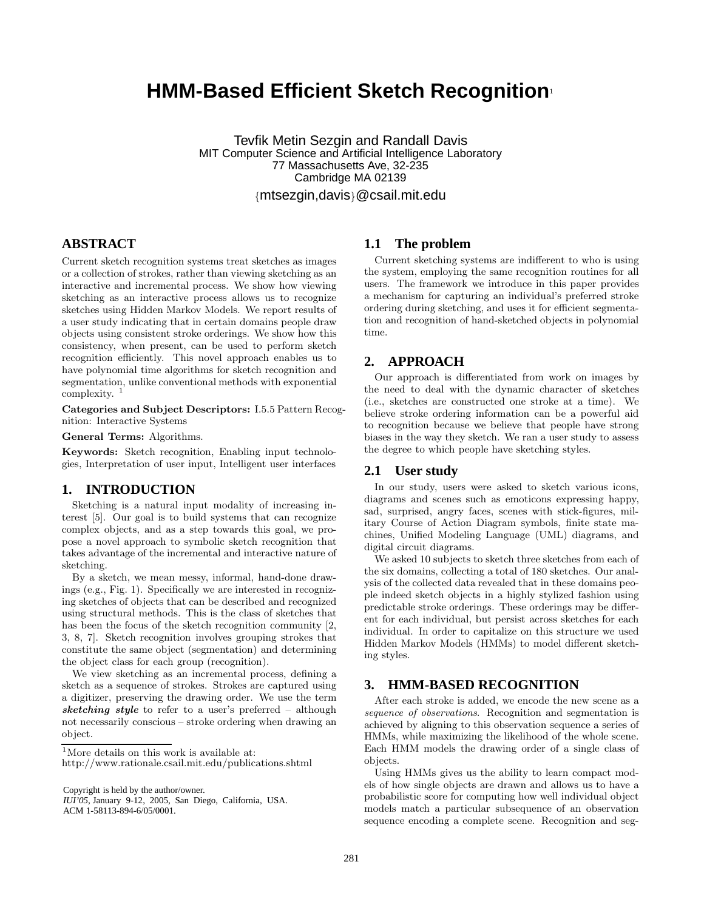# **HMM-Based Efficient Sketch Recognition**<sup>1</sup>

Tevfik Metin Sezgin and Randall Davis MIT Computer Science and Artificial Intelligence Laboratory 77 Massachusetts Ave, 32-235 Cambridge MA 02139

{mtsezgin,davis}@csail.mit.edu

# **ABSTRACT**

Current sketch recognition systems treat sketches as images or a collection of strokes, rather than viewing sketching as an interactive and incremental process. We show how viewing sketching as an interactive process allows us to recognize sketches using Hidden Markov Models. We report results of a user study indicating that in certain domains people draw objects using consistent stroke orderings. We show how this consistency, when present, can be used to perform sketch recognition efficiently. This novel approach enables us to have polynomial time algorithms for sketch recognition and segmentation, unlike conventional methods with exponential complexity. <sup>1</sup>

**Categories and Subject Descriptors:** I.5.5 Pattern Recognition: Interactive Systems

**General Terms:** Algorithms.

**Keywords:** Sketch recognition, Enabling input technologies, Interpretation of user input, Intelligent user interfaces

### **1. INTRODUCTION**

Sketching is a natural input modality of increasing interest [5]. Our goal is to build systems that can recognize complex objects, and as a step towards this goal, we propose a novel approach to symbolic sketch recognition that takes advantage of the incremental and interactive nature of sketching.

By a sketch, we mean messy, informal, hand-done drawings (e.g., Fig. 1). Specifically we are interested in recognizing sketches of objects that can be described and recognized using structural methods. This is the class of sketches that has been the focus of the sketch recognition community [2, 3, 8, 7]. Sketch recognition involves grouping strokes that constitute the same object (segmentation) and determining the object class for each group (recognition).

We view sketching as an incremental process, defining a sketch as a sequence of strokes. Strokes are captured using a digitizer, preserving the drawing order. We use the term *sketching style* to refer to a user's preferred – although not necessarily conscious – stroke ordering when drawing an object.

<sup>1</sup>More details on this work is available at:

Copyright is held by the author/owner.

*IUI'05,* January 9-12, 2005, San Diego, California, USA. ACM 1-58113-894-6/05/0001.

#### **1.1 The problem**

Current sketching systems are indifferent to who is using the system, employing the same recognition routines for all users. The framework we introduce in this paper provides a mechanism for capturing an individual's preferred stroke ordering during sketching, and uses it for efficient segmentation and recognition of hand-sketched objects in polynomial time.

## **2. APPROACH**

Our approach is differentiated from work on images by the need to deal with the dynamic character of sketches (i.e., sketches are constructed one stroke at a time). We believe stroke ordering information can be a powerful aid to recognition because we believe that people have strong biases in the way they sketch. We ran a user study to assess the degree to which people have sketching styles.

#### **2.1 User study**

In our study, users were asked to sketch various icons, diagrams and scenes such as emoticons expressing happy, sad, surprised, angry faces, scenes with stick-figures, military Course of Action Diagram symbols, finite state machines, Unified Modeling Language (UML) diagrams, and digital circuit diagrams.

We asked 10 subjects to sketch three sketches from each of the six domains, collecting a total of 180 sketches. Our analysis of the collected data revealed that in these domains people indeed sketch objects in a highly stylized fashion using predictable stroke orderings. These orderings may be different for each individual, but persist across sketches for each individual. In order to capitalize on this structure we used Hidden Markov Models (HMMs) to model different sketching styles.

## **3. HMM-BASED RECOGNITION**

After each stroke is added, we encode the new scene as a *sequence of observations*. Recognition and segmentation is achieved by aligning to this observation sequence a series of HMMs, while maximizing the likelihood of the whole scene. Each HMM models the drawing order of a single class of objects.

Using HMMs gives us the ability to learn compact models of how single objects are drawn and allows us to have a probabilistic score for computing how well individual object models match a particular subsequence of an observation sequence encoding a complete scene. Recognition and seg-

http://www.rationale.csail.mit.edu/publications.shtml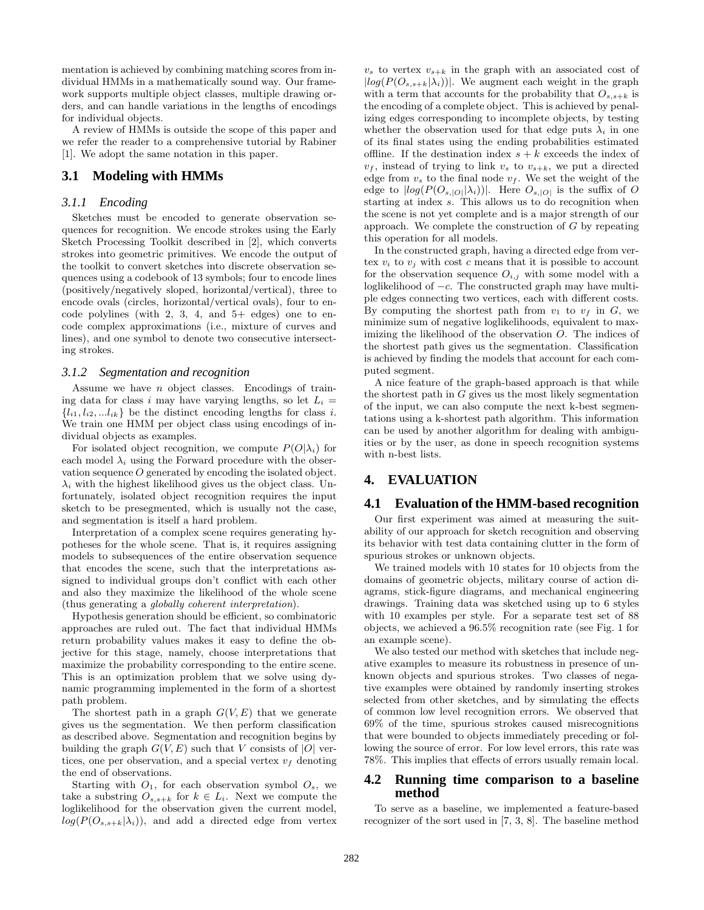mentation is achieved by combining matching scores from individual HMMs in a mathematically sound way. Our framework supports multiple object classes, multiple drawing orders, and can handle variations in the lengths of encodings for individual objects.

A review of HMMs is outside the scope of this paper and we refer the reader to a comprehensive tutorial by Rabiner [1]. We adopt the same notation in this paper.

## **3.1 Modeling with HMMs**

#### *3.1.1 Encoding*

Sketches must be encoded to generate observation sequences for recognition. We encode strokes using the Early Sketch Processing Toolkit described in [2], which converts strokes into geometric primitives. We encode the output of the toolkit to convert sketches into discrete observation sequences using a codebook of 13 symbols; four to encode lines (positively/negatively sloped, horizontal/vertical), three to encode ovals (circles, horizontal/vertical ovals), four to encode polylines (with  $2, 3, 4,$  and  $5+$  edges) one to encode complex approximations (i.e., mixture of curves and lines), and one symbol to denote two consecutive intersecting strokes.

#### *3.1.2 Segmentation and recognition*

Assume we have  $n$  object classes. Encodings of training data for class i may have varying lengths, so let  $L_i =$  ${l_{i1}, l_{i2}, ... l_{ik}}$  be the distinct encoding lengths for class *i*. We train one HMM per object class using encodings of individual objects as examples.

For isolated object recognition, we compute  $P(O|\lambda_i)$  for each model  $\lambda_i$  using the Forward procedure with the observation sequence O generated by encoding the isolated object.  $\lambda_i$  with the highest likelihood gives us the object class. Unfortunately, isolated object recognition requires the input sketch to be presegmented, which is usually not the case, and segmentation is itself a hard problem.

Interpretation of a complex scene requires generating hypotheses for the whole scene. That is, it requires assigning models to subsequences of the entire observation sequence that encodes the scene, such that the interpretations assigned to individual groups don't conflict with each other and also they maximize the likelihood of the whole scene (thus generating a *globally coherent interpretation*).

Hypothesis generation should be efficient, so combinatoric approaches are ruled out. The fact that individual HMMs return probability values makes it easy to define the objective for this stage, namely, choose interpretations that maximize the probability corresponding to the entire scene. This is an optimization problem that we solve using dynamic programming implemented in the form of a shortest path problem.

The shortest path in a graph  $G(V, E)$  that we generate gives us the segmentation. We then perform classification as described above. Segmentation and recognition begins by building the graph  $G(V, E)$  such that V consists of  $|O|$  vertices, one per observation, and a special vertex  $v_f$  denoting the end of observations.

Starting with  $O_1$ , for each observation symbol  $O_s$ , we take a substring  $O_{s,s+k}$  for  $k \in L_i$ . Next we compute the loglikelihood for the observation given the current model,  $log(P(O_{s,s+k}|\lambda_i))$ , and add a directed edge from vertex

 $v_s$  to vertex  $v_{s+k}$  in the graph with an associated cost of  $|log(P(O_{s,s+k}|\lambda_i))|$ . We augment each weight in the graph with a term that accounts for the probability that  $O_{s,s+k}$  is the encoding of a complete object. This is achieved by penalizing edges corresponding to incomplete objects, by testing whether the observation used for that edge puts  $\lambda_i$  in one of its final states using the ending probabilities estimated offline. If the destination index  $s + k$  exceeds the index of  $v_f$ , instead of trying to link  $v_s$  to  $v_{s+k}$ , we put a directed edge from  $v_s$  to the final node  $v_f$ . We set the weight of the edge to  $|log(P(O_{s, |O|}|\lambda_i))|$ . Here  $O_{s, |O|}$  is the suffix of O starting at index s. This allows us to do recognition when the scene is not yet complete and is a major strength of our approach. We complete the construction of G by repeating this operation for all models.

In the constructed graph, having a directed edge from vertex  $v_i$  to  $v_j$  with cost c means that it is possible to account for the observation sequence  $O_{i,j}$  with some model with a loglikelihood of <sup>−</sup>c. The constructed graph may have multiple edges connecting two vertices, each with different costs. By computing the shortest path from  $v_1$  to  $v_f$  in  $G$ , we minimize sum of negative loglikelihoods, equivalent to maximizing the likelihood of the observation O. The indices of the shortest path gives us the segmentation. Classification is achieved by finding the models that account for each computed segment.

A nice feature of the graph-based approach is that while the shortest path in  $G$  gives us the most likely segmentation of the input, we can also compute the next k-best segmentations using a k-shortest path algorithm. This information can be used by another algorithm for dealing with ambiguities or by the user, as done in speech recognition systems with n-best lists.

# **4. EVALUATION**

#### **4.1 Evaluation of the HMM-based recognition**

Our first experiment was aimed at measuring the suitability of our approach for sketch recognition and observing its behavior with test data containing clutter in the form of spurious strokes or unknown objects.

We trained models with 10 states for 10 objects from the domains of geometric objects, military course of action diagrams, stick-figure diagrams, and mechanical engineering drawings. Training data was sketched using up to 6 styles with 10 examples per style. For a separate test set of 88 objects, we achieved a 96.5% recognition rate (see Fig. 1 for an example scene).

We also tested our method with sketches that include negative examples to measure its robustness in presence of unknown objects and spurious strokes. Two classes of negative examples were obtained by randomly inserting strokes selected from other sketches, and by simulating the effects of common low level recognition errors. We observed that 69% of the time, spurious strokes caused misrecognitions that were bounded to objects immediately preceding or following the source of error. For low level errors, this rate was 78%. This implies that effects of errors usually remain local.

#### **4.2 Running time comparison to a baseline method**

To serve as a baseline, we implemented a feature-based recognizer of the sort used in [7, 3, 8]. The baseline method